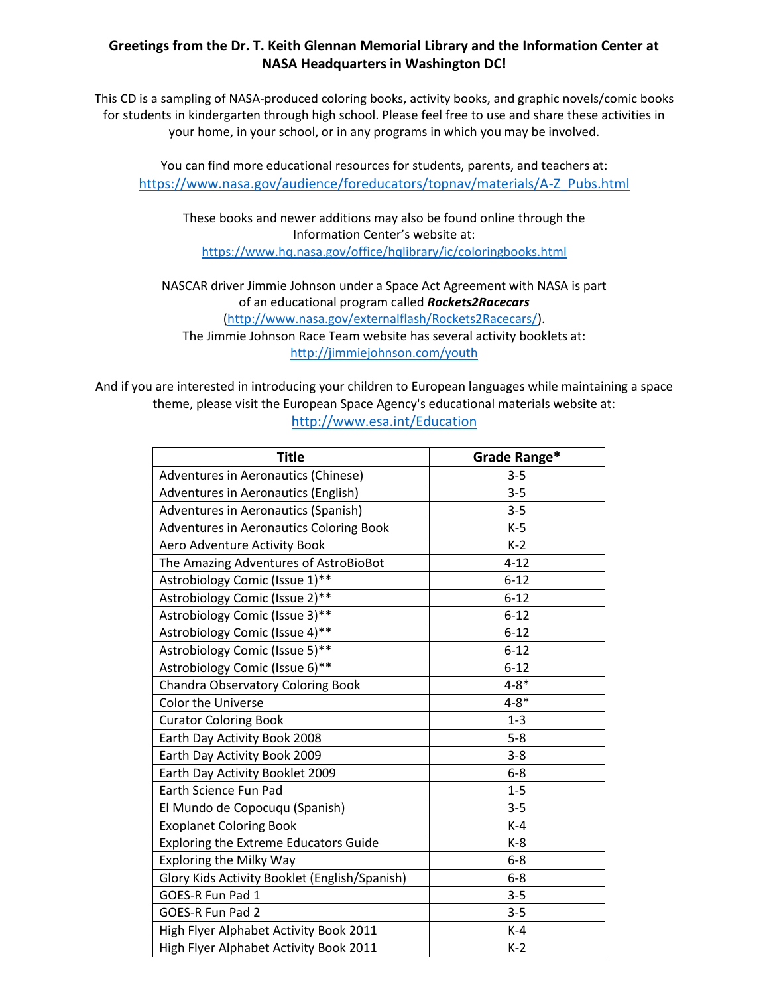## **Greetings from the Dr. T. Keith Glennan Memorial Library and the Information Center at NASA Headquarters in Washington DC!**

This CD is a sampling of NASA-produced coloring books, activity books, and graphic novels/comic books for students in kindergarten through high school. Please feel free to use and share these activities in your home, in your school, or in any programs in which you may be involved.

You can find more educational resources for students, parents, and teachers at: [https://www.nasa.gov/audience/foreducators/topnav/materials/A-Z\\_Pubs.html](https://www.nasa.gov/audience/foreducators/topnav/materials/A-Z_Pubs.html)

These books and newer additions may also be found online through the Information Center's website at: <https://www.hq.nasa.gov/office/hqlibrary/ic/coloringbooks.html>

NASCAR driver Jimmie Johnson under a Space Act Agreement with NASA is part of an educational program called *Rockets2Racecars* [\(http://www.nasa.gov/externalflash/Rockets2Racecars/\)](http://www.nasa.gov/externalflash/Rockets2Racecars/). The Jimmie Johnson Race Team website has several activity booklets at:

<http://jimmiejohnson.com/youth>

And if you are interested in introducing your children to European languages while maintaining a space theme, please visit the European Space Agency's educational materials website at: <http://www.esa.int/Education>

| <b>Title</b>                                  | Grade Range* |
|-----------------------------------------------|--------------|
| Adventures in Aeronautics (Chinese)           | $3 - 5$      |
| Adventures in Aeronautics (English)           | $3 - 5$      |
| Adventures in Aeronautics (Spanish)           | $3 - 5$      |
| Adventures in Aeronautics Coloring Book       | $K-5$        |
| Aero Adventure Activity Book                  | $K-2$        |
| The Amazing Adventures of AstroBioBot         | $4 - 12$     |
| Astrobiology Comic (Issue 1)**                | $6 - 12$     |
| Astrobiology Comic (Issue 2)**                | $6 - 12$     |
| Astrobiology Comic (Issue 3)**                | $6 - 12$     |
| Astrobiology Comic (Issue 4)**                | $6 - 12$     |
| Astrobiology Comic (Issue 5)**                | $6 - 12$     |
| Astrobiology Comic (Issue 6)**                | $6 - 12$     |
| <b>Chandra Observatory Coloring Book</b>      | $4 - 8*$     |
| <b>Color the Universe</b>                     | $4 - 8*$     |
| <b>Curator Coloring Book</b>                  | $1 - 3$      |
| Earth Day Activity Book 2008                  | $5 - 8$      |
| Earth Day Activity Book 2009                  | $3 - 8$      |
| Earth Day Activity Booklet 2009               | $6 - 8$      |
| Earth Science Fun Pad                         | $1 - 5$      |
| El Mundo de Copocuqu (Spanish)                | $3 - 5$      |
| <b>Exoplanet Coloring Book</b>                | $K-4$        |
| <b>Exploring the Extreme Educators Guide</b>  | K-8          |
| <b>Exploring the Milky Way</b>                | $6 - 8$      |
| Glory Kids Activity Booklet (English/Spanish) | $6 - 8$      |
| GOES-R Fun Pad 1                              | $3 - 5$      |
| GOES-R Fun Pad 2                              | $3 - 5$      |
| High Flyer Alphabet Activity Book 2011        | $K-4$        |
| High Flyer Alphabet Activity Book 2011        | $K-2$        |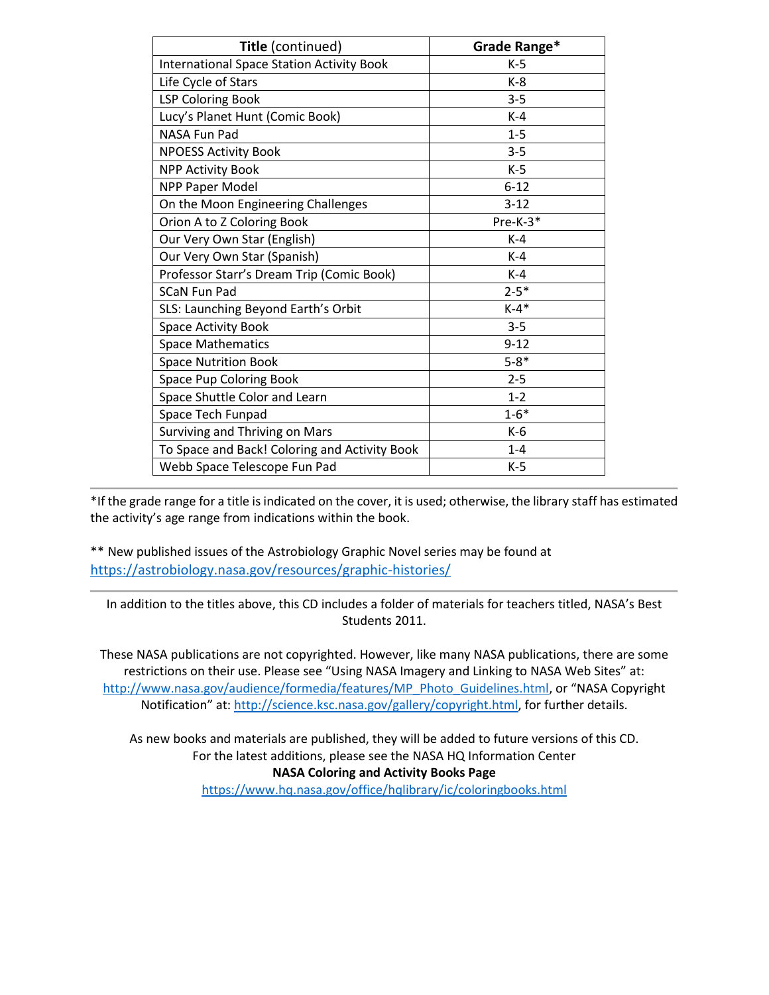| Title (continued)                                | Grade Range* |
|--------------------------------------------------|--------------|
| <b>International Space Station Activity Book</b> | $K-5$        |
| Life Cycle of Stars                              | $K-8$        |
| <b>LSP Coloring Book</b>                         | $3 - 5$      |
| Lucy's Planet Hunt (Comic Book)                  | $K-4$        |
| NASA Fun Pad                                     | $1 - 5$      |
| <b>NPOESS Activity Book</b>                      | $3 - 5$      |
| <b>NPP Activity Book</b>                         | $K-5$        |
| <b>NPP Paper Model</b>                           | $6 - 12$     |
| On the Moon Engineering Challenges               | $3 - 12$     |
| Orion A to Z Coloring Book                       | Pre-K-3*     |
| Our Very Own Star (English)                      | $K-4$        |
| Our Very Own Star (Spanish)                      | $K-4$        |
| Professor Starr's Dream Trip (Comic Book)        | $K-4$        |
| <b>SCaN Fun Pad</b>                              | $2 - 5*$     |
| SLS: Launching Beyond Earth's Orbit              | $K-4*$       |
| Space Activity Book                              | $3 - 5$      |
| <b>Space Mathematics</b>                         | $9 - 12$     |
| <b>Space Nutrition Book</b>                      | $5 - 8*$     |
| Space Pup Coloring Book                          | $2 - 5$      |
| Space Shuttle Color and Learn                    | $1 - 2$      |
| Space Tech Funpad                                | $1 - 6*$     |
| Surviving and Thriving on Mars                   | $K-6$        |
| To Space and Back! Coloring and Activity Book    | $1 - 4$      |
| Webb Space Telescope Fun Pad                     | $K-5$        |

\*If the grade range for a title is indicated on the cover, it is used; otherwise, the library staff has estimated the activity's age range from indications within the book.

\*\* New published issues of the Astrobiology Graphic Novel series may be found at <https://astrobiology.nasa.gov/resources/graphic-histories/>

In addition to the titles above, this CD includes a folder of materials for teachers titled, NASA's Best Students 2011.

These NASA publications are not copyrighted. However, like many NASA publications, there are some restrictions on their use. Please see "Using NASA Imagery and Linking to NASA Web Sites" at: [http://www.nasa.gov/audience/formedia/features/MP\\_Photo\\_Guidelines.html](http://www.nasa.gov/audience/formedia/features/MP_Photo_Guidelines.html), or "NASA Copyright Notification" at: [http://science.ksc.nasa.gov/gallery/copyright.html,](http://science.ksc.nasa.gov/gallery/copyright.html) for further details.

As new books and materials are published, they will be added to future versions of this CD. For the latest additions, please see the NASA HQ Information Center **NASA Coloring and Activity Books Page**

<https://www.hq.nasa.gov/office/hqlibrary/ic/coloringbooks.html>